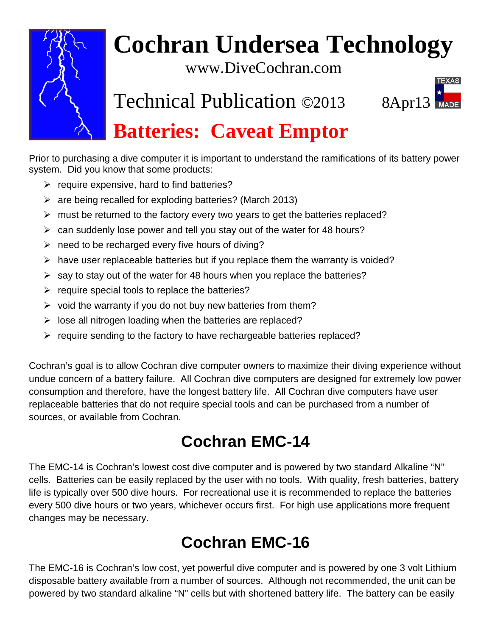

# **Cochran Undersea Technology**

www.DiveCochran.com

Technical Publication ©2013 8Apr13



# **Batteries: Caveat Emptor**

Prior to purchasing a dive computer it is important to understand the ramifications of its battery power system. Did you know that some products:

- $\triangleright$  require expensive, hard to find batteries?
- $\triangleright$  are being recalled for exploding batteries? (March 2013)
- $\triangleright$  must be returned to the factory every two years to get the batteries replaced?
- $\geq$  can suddenly lose power and tell you stay out of the water for 48 hours?
- $\triangleright$  need to be recharged every five hours of diving?
- $\triangleright$  have user replaceable batteries but if you replace them the warranty is voided?
- $\triangleright$  say to stay out of the water for 48 hours when you replace the batteries?
- $\triangleright$  require special tools to replace the batteries?
- $\triangleright$  void the warranty if you do not buy new batteries from them?
- $\triangleright$  lose all nitrogen loading when the batteries are replaced?
- $\triangleright$  require sending to the factory to have rechargeable batteries replaced?

Cochran's goal is to allow Cochran dive computer owners to maximize their diving experience without undue concern of a battery failure. All Cochran dive computers are designed for extremely low power consumption and therefore, have the longest battery life. All Cochran dive computers have user replaceable batteries that do not require special tools and can be purchased from a number of sources, or available from Cochran.

## **Cochran EMC-14**

The EMC-14 is Cochran's lowest cost dive computer and is powered by two standard Alkaline "N" cells. Batteries can be easily replaced by the user with no tools. With quality, fresh batteries, battery life is typically over 500 dive hours. For recreational use it is recommended to replace the batteries every 500 dive hours or two years, whichever occurs first. For high use applications more frequent changes may be necessary.

## **Cochran EMC-16**

The EMC-16 is Cochran's low cost, yet powerful dive computer and is powered by one 3 volt Lithium disposable battery available from a number of sources. Although not recommended, the unit can be powered by two standard alkaline "N" cells but with shortened battery life. The battery can be easily